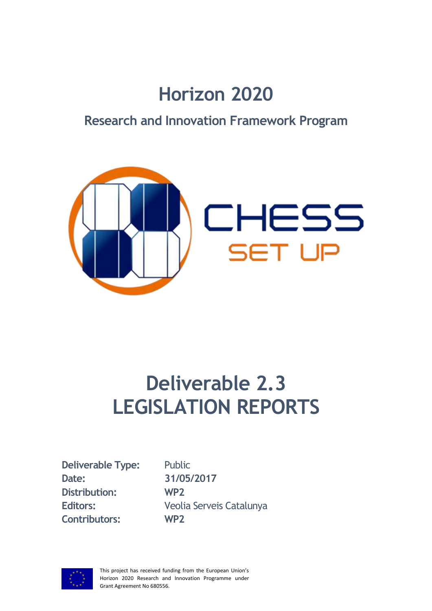# **Horizon 2020**

## **Research and Innovation Framework Program**



# **Deliverable 2.3 LEGISLATION REPORTS**

**Deliverable Type:** Public **Date: 31/05/2017 Distribution: WP2 Contributors: WP2**

**Editors:** Veolia Serveis Catalunya

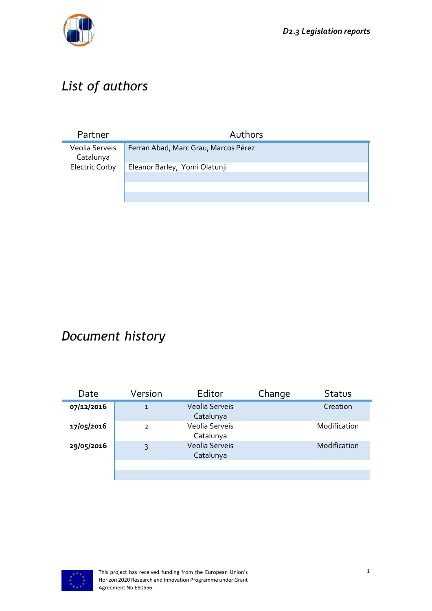

## *List of authors*

| Partner                     | Authors                              |
|-----------------------------|--------------------------------------|
| Veolia Serveis<br>Catalunya | Ferran Abad, Marc Grau, Marcos Pérez |
| <b>Electric Corby</b>       | Eleanor Barley, Yomi Olatunji        |
|                             |                                      |
|                             |                                      |
|                             |                                      |

## *Document history*

| Date       | Version       | Editor                             | Change | <b>Status</b> |
|------------|---------------|------------------------------------|--------|---------------|
| 07/12/2016 | $\mathbf{1}$  | Veolia Serveis<br>Catalunya        |        | Creation      |
| 17/05/2016 | $\mathcal{P}$ | Veolia Serveis<br>Catalunya        |        | Modification  |
| 29/05/2016 | 3             | <b>Veolia Serveis</b><br>Catalunya |        | Modification  |
|            |               |                                    |        |               |
|            |               |                                    |        |               |

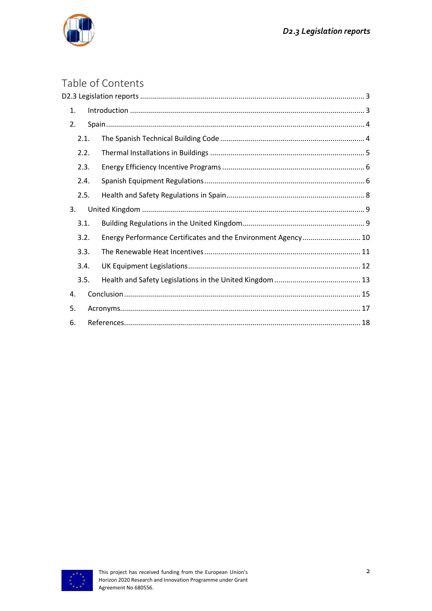

#### Table of Contents  $D2.3$  Legislation

| 1.   |  |                                                               |  |
|------|--|---------------------------------------------------------------|--|
| 2.   |  |                                                               |  |
| 2.1. |  |                                                               |  |
| 2.2. |  |                                                               |  |
| 2.3. |  |                                                               |  |
| 2.4. |  |                                                               |  |
| 2.5. |  |                                                               |  |
| 3.   |  |                                                               |  |
| 3.1. |  |                                                               |  |
| 3.2. |  | Energy Performance Certificates and the Environment Agency 10 |  |
| 3.3. |  |                                                               |  |
| 3.4. |  |                                                               |  |
| 3.5. |  |                                                               |  |
| 4.   |  |                                                               |  |
| 5.   |  |                                                               |  |
| 6.   |  |                                                               |  |

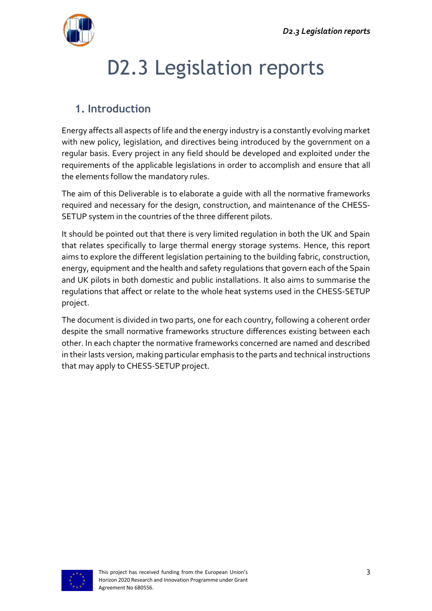<span id="page-3-0"></span>

# D2.3 Legislation reports

### <span id="page-3-1"></span>**1. Introduction**

Energy affects all aspects of life and the energy industry is a constantly evolving market with new policy, legislation, and directives being introduced by the government on a regular basis. Every project in any field should be developed and exploited under the requirements of the applicable legislations in order to accomplish and ensure that all the elements follow the mandatory rules.

The aim of this Deliverable is to elaborate a guide with all the normative frameworks required and necessary for the design, construction, and maintenance of the CHESS-SETUP system in the countries of the three different pilots.

It should be pointed out that there is very limited regulation in both the UK and Spain that relates specifically to large thermal energy storage systems. Hence, this report aims to explore the different legislation pertaining to the building fabric, construction, energy, equipment and the health and safety regulations that govern each of the Spain and UK pilots in both domestic and public installations. It also aims to summarise the regulations that affect or relate to the whole heat systems used in the CHESS-SETUP project.

The document is divided in two parts, one for each country, following a coherent order despite the small normative frameworks structure differences existing between each other. In each chapter the normative frameworks concerned are named and described in their lasts version, making particular emphasis to the parts and technical instructions that may apply to CHESS-SETUP project.

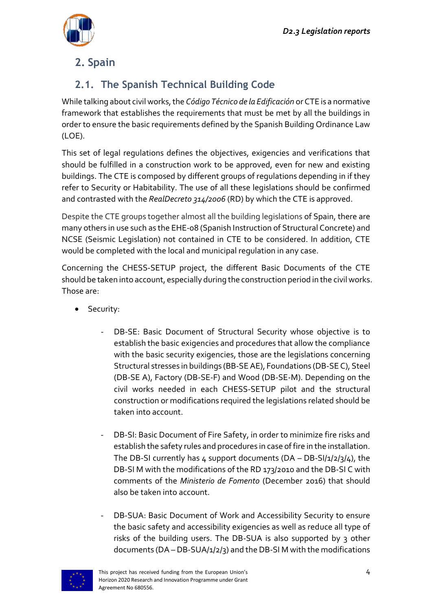

## <span id="page-4-0"></span>**2. Spain**

### <span id="page-4-1"></span>**2.1. The Spanish Technical Building Code**

While talking about civil works, the *Código Técnico de la Edificación* or CTE is a normative framework that establishes the requirements that must be met by all the buildings in order to ensure the basic requirements defined by the Spanish Building Ordinance Law (LOE).

This set of legal regulations defines the objectives, exigencies and verifications that should be fulfilled in a construction work to be approved, even for new and existing buildings. The CTE is composed by different groups of regulations depending in if they refer to Security or Habitability. The use of all these legislations should be confirmed and contrasted with the *RealDecreto 314/2006* (RD) by which the CTE is approved.

Despite the CTE groups together almost all the building legislations of Spain, there are many others in use such as the EHE-08 (Spanish Instruction of Structural Concrete) and NCSE (Seismic Legislation) not contained in CTE to be considered. In addition, CTE would be completed with the local and municipal regulation in any case.

Concerning the CHESS-SETUP project, the different Basic Documents of the CTE should be taken into account, especially during the construction period in the civil works. Those are:

- **•** Security:
	- DB-SE: Basic Document of Structural Security whose objective is to establish the basic exigencies and procedures that allow the compliance with the basic security exigencies, those are the legislations concerning Structural stresses in buildings (BB-SE AE), Foundations (DB-SE C), Steel (DB-SE A), Factory (DB-SE-F) and Wood (DB-SE-M). Depending on the civil works needed in each CHESS-SETUP pilot and the structural construction or modifications required the legislations related should be taken into account.
	- DB-SI: Basic Document of Fire Safety, in order to minimize fire risks and establish the safety rules and procedures in case of fire in the installation. The DB-SI currently has 4 support documents (DA - DB-SI/1/2/3/4), the DB-SI M with the modifications of the RD 173/2010 and the DB-SI C with comments of the *Ministerio de Fomento* (December 2016) that should also be taken into account.
	- DB-SUA: Basic Document of Work and Accessibility Security to ensure the basic safety and accessibility exigencies as well as reduce all type of risks of the building users. The DB-SUA is also supported by 3 other documents (DA – DB-SUA/1/2/3) and the DB-SI M with the modifications

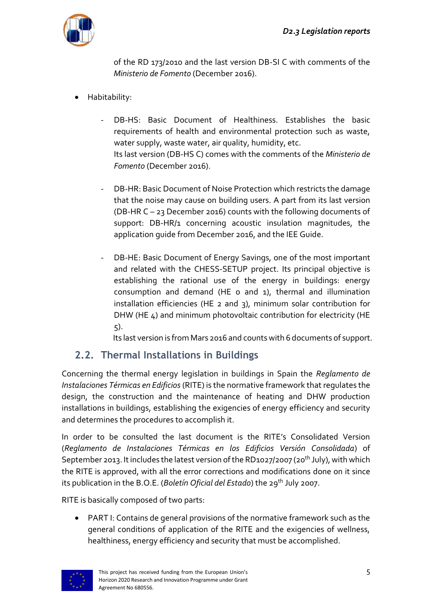

of the RD 173/2010 and the last version DB-SI C with comments of the *Ministerio de Fomento* (December 2016).

- Habitability:
	- DB-HS: Basic Document of Healthiness. Establishes the basic requirements of health and environmental protection such as waste, water supply, waste water, air quality, humidity, etc. Its last version (DB-HS C) comes with the comments of the *Ministerio de Fomento* (December 2016).
	- DB-HR: Basic Document of Noise Protection which restricts the damage that the noise may cause on building users. A part from its last version (DB-HR C – 23 December 2016) counts with the following documents of support: DB-HR/1 concerning acoustic insulation magnitudes, the application guide from December 2016, and the IEE Guide.
	- DB-HE: Basic Document of Energy Savings, one of the most important and related with the CHESS-SETUP project. Its principal objective is establishing the rational use of the energy in buildings: energy consumption and demand (HE 0 and 1), thermal and illumination installation efficiencies (HE 2 and 3), minimum solar contribution for DHW (HE 4) and minimum photovoltaic contribution for electricity (HE 5).

Its last version is from Mars 2016 and counts with 6 documents of support.

#### <span id="page-5-0"></span>**2.2. Thermal Installations in Buildings**

Concerning the thermal energy legislation in buildings in Spain the *Reglamento de Instalaciones Térmicas en Edificios* (RITE) is the normative framework that regulates the design, the construction and the maintenance of heating and DHW production installations in buildings, establishing the exigencies of energy efficiency and security and determines the procedures to accomplish it.

In order to be consulted the last document is the RITE's Consolidated Version (*Reglamento de Instalaciones Térmicas en los Edificios Versión Consolidada*) of September 2013. It includes the latest version of the RD1027/2007 (20<sup>th</sup> July), with which the RITE is approved, with all the error corrections and modifications done on it since its publication in the B.O.E. (*Boletín Oficial del Estado*) the 29th July 2007.

RITE is basically composed of two parts:

 PART I: Contains de general provisions of the normative framework such as the general conditions of application of the RITE and the exigencies of wellness, healthiness, energy efficiency and security that must be accomplished.

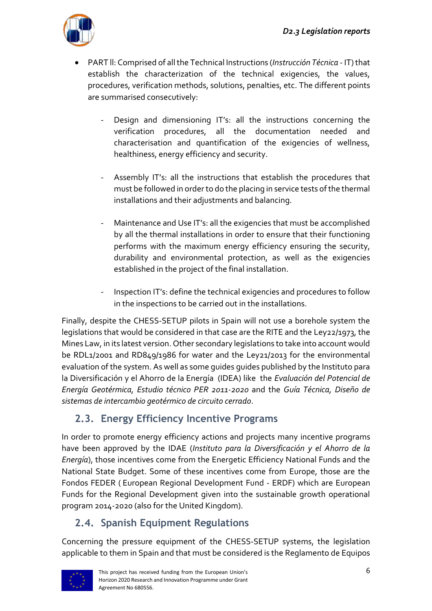

- PART ll: Comprised of allthe Technical Instructions (*Instrucción Técnica* IT)that establish the characterization of the technical exigencies, the values, procedures, verification methods, solutions, penalties, etc. The different points are summarised consecutively:
	- Design and dimensioning IT's: all the instructions concerning the verification procedures, all the documentation needed and characterisation and quantification of the exigencies of wellness, healthiness, energy efficiency and security.
	- Assembly IT's: all the instructions that establish the procedures that must be followed in order to do the placing in service tests of the thermal installations and their adjustments and balancing.
	- Maintenance and Use IT's: all the exigencies that must be accomplished by all the thermal installations in order to ensure that their functioning performs with the maximum energy efficiency ensuring the security, durability and environmental protection, as well as the exigencies established in the project of the final installation.
	- Inspection IT's: define the technical exigencies and procedures to follow in the inspections to be carried out in the installations.

Finally, despite the CHESS-SETUP pilots in Spain will not use a borehole system the legislations that would be considered in that case are the RITE and the Ley22/1973, the Mines Law, in its latest version. Other secondary legislations to take into account would be RDL1/2001 and RD849/1986 for water and the Ley21/2013 for the environmental evaluation of the system. As well as some guides guides published by the Instituto para la Diversificación y el Ahorro de la Energía (IDEA) like the *Evaluación del Potencial de Energía Geotérmica, Estudio técnico PER 2011-2020* and the *Guía Técnica, Diseño de sistemas de intercambio geotérmico de circuito cerrado*.

#### <span id="page-6-0"></span>**2.3. Energy Efficiency Incentive Programs**

In order to promote energy efficiency actions and projects many incentive programs have been approved by the IDAE (*Instituto para la Diversificación y el Ahorro de la Energía*), those incentives come from the Energetic Efficiency National Funds and the National State Budget. Some of these incentives come from Europe, those are the Fondos FEDER ( European Regional Development Fund - ERDF) which are European Funds for the Regional Development given into the sustainable growth operational program 2014-2020 (also for the United Kingdom).

#### <span id="page-6-1"></span>**2.4. Spanish Equipment Regulations**

Concerning the pressure equipment of the CHESS-SETUP systems, the legislation applicable to them in Spain and that must be considered is the Reglamento de Equipos

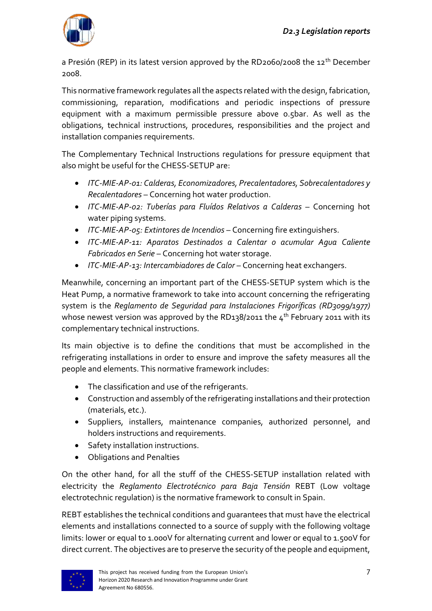

a Presión (REP) in its latest version approved by the RD2060/2008 the  $12<sup>th</sup>$  December 2008.

This normative framework regulates all the aspects related with the design, fabrication, commissioning, reparation, modifications and periodic inspections of pressure equipment with a maximum permissible pressure above 0.5bar. As well as the obligations, technical instructions, procedures, responsibilities and the project and installation companies requirements.

The Complementary Technical Instructions regulations for pressure equipment that also might be useful for the CHESS-SETUP are:

- *[ITC-MIE-AP-01: Calderas, Economizadores, Precalentadores, Sobrecalentadores y](http://www.instalacionesindustriales.es/normativa/recipresion/ITC-MIE-AP/MIE-AP-01.html)  [Recalentadores](http://www.instalacionesindustriales.es/normativa/recipresion/ITC-MIE-AP/MIE-AP-01.html)* – Concerning hot water production.
- *[ITC-MIE-AP-02: Tuberías para Fluídos Relativos a Calderas](http://www.instalacionesindustriales.es/normativa/recipresion/ITC-MIE-AP/MIE-AP-02.html)* Concerning hot water piping systems.
- *[ITC-MIE-AP-05: Extintores de Incendios](http://www.instalacionesindustriales.es/normativa/recipresion/ITC-MIE-AP/MIE-AP-05.html)* Concerning fire extinguishers.
- *[ITC-MIE-AP-11: Aparatos Destinados a Calentar o acumular Agua Caliente](http://www.instalacionesindustriales.es/normativa/recipresion/ITC-MIE-AP/MIE-AP-11.html)  [Fabricados en Serie](http://www.instalacionesindustriales.es/normativa/recipresion/ITC-MIE-AP/MIE-AP-11.html)* – Concerning hot water storage.
- *[ITC-MIE-AP-13: Intercambiadores de Calor](http://www.instalacionesindustriales.es/normativa/recipresion/ITC-MIE-AP/MIE-AP-13.html)* Concerning heat exchangers.

Meanwhile, concerning an important part of the CHESS-SETUP system which is the Heat Pump, a normative framework to take into account concerning the refrigerating system is the *Reglamento de Seguridad para Instalaciones Frigoríficas (RD3099/1977)* whose newest version was approved by the RD138/2011 the  $4<sup>th</sup>$  February 2011 with its complementary technical instructions.

Its main objective is to define the conditions that must be accomplished in the refrigerating installations in order to ensure and improve the safety measures all the people and elements. This normative framework includes:

- The classification and use of the refrigerants.
- Construction and assembly of the refrigerating installations and their protection (materials, etc.).
- Suppliers, installers, maintenance companies, authorized personnel, and holders instructions and requirements.
- Safety installation instructions.
- Obligations and Penalties

On the other hand, for all the stuff of the CHESS-SETUP installation related with electricity the *Reglamento Electrotécnico para Baja Tensión* REBT (Low voltage electrotechnic regulation) is the normative framework to consult in Spain.

REBT establishes the technical conditions and guarantees that must have the electrical elements and installations connected to a source of supply with the following voltage limits: lower or equal to 1.000V for alternating current and lower or equal to 1.500V for direct current. The objectives are to preserve the security of the people and equipment,

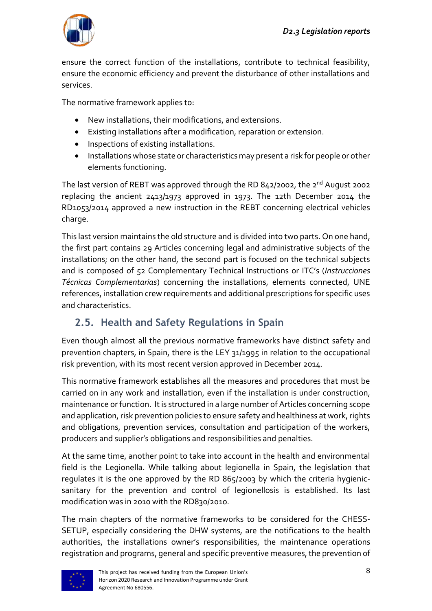

ensure the correct function of the installations, contribute to technical feasibility, ensure the economic efficiency and prevent the disturbance of other installations and services.

The normative framework applies to:

- New installations, their modifications, and extensions.
- Existing installations after a modification, reparation or extension.
- **•** Inspections of existing installations.
- Installations whose state or characteristics may present a risk for people or other elements functioning.

The last version of REBT was approved through the RD 842/2002, the  $2^{nd}$  August 2002 replacing the ancient 2413/1973 approved in 1973. The 12th December 2014 the RD1053/2014 approved a new instruction in the REBT concerning electrical vehicles charge.

This last version maintains the old structure and is divided into two parts. On one hand, the first part contains 29 Articles concerning legal and administrative subjects of the installations; on the other hand, the second part is focused on the technical subjects and is composed of 52 Complementary Technical Instructions or ITC's (*Instrucciones Técnicas Complementarias*) concerning the installations, elements connected, UNE references, installation crew requirements and additional prescriptions for specific uses and characteristics.

#### <span id="page-8-0"></span>**2.5. Health and Safety Regulations in Spain**

Even though almost all the previous normative frameworks have distinct safety and prevention chapters, in Spain, there is the LEY 31/1995 in relation to the occupational risk prevention, with its most recent version approved in December 2014.

This normative framework establishes all the measures and procedures that must be carried on in any work and installation, even if the installation is under construction, maintenance or function. It is structured in a large number of Articles concerning scope and application, risk prevention policies to ensure safety and healthiness at work, rights and obligations, prevention services, consultation and participation of the workers, producers and supplier's obligations and responsibilities and penalties.

At the same time, another point to take into account in the health and environmental field is the Legionella. While talking about legionella in Spain, the legislation that regulates it is the one approved by the RD 865/2003 by which the criteria hygienicsanitary for the prevention and control of legionellosis is established. Its last modification was in 2010 with the RD830/2010.

The main chapters of the normative frameworks to be considered for the CHESS-SETUP, especially considering the DHW systems, are the notifications to the health authorities, the installations owner's responsibilities, the maintenance operations registration and programs, general and specific preventive measures, the prevention of

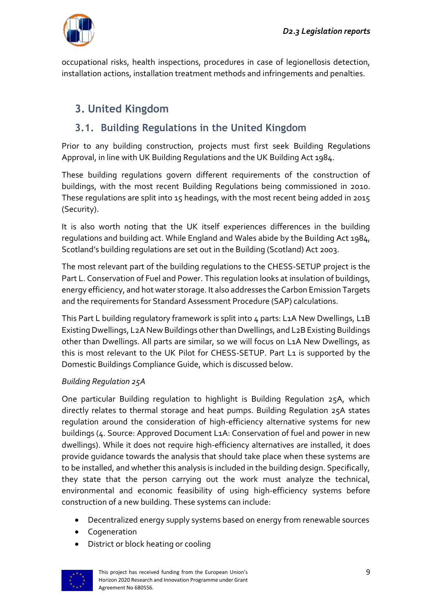

occupational risks, health inspections, procedures in case of legionellosis detection, installation actions, installation treatment methods and infringements and penalties.

### <span id="page-9-0"></span>**3. United Kingdom**

#### <span id="page-9-1"></span>**3.1. Building Regulations in the United Kingdom**

Prior to any building construction, projects must first seek Building Regulations Approval, in line with UK Building Regulations and the UK Building Act 1984.

These building regulations govern different requirements of the construction of buildings, with the most recent Building Regulations being commissioned in 2010. These regulations are split into 15 headings, with the most recent being added in 2015 (Security).

It is also worth noting that the UK itself experiences differences in the building regulations and building act. While England and Wales abide by the Building Act 1984, Scotland's building regulations are set out in the Building (Scotland) Act 2003.

The most relevant part of the building regulations to the CHESS-SETUP project is the Part L. Conservation of Fuel and Power. This regulation looks at insulation of buildings, energy efficiency, and hot water storage. It also addresses the Carbon Emission Targets and the requirements for Standard Assessment Procedure (SAP) calculations.

This Part L building regulatory framework is split into 4 parts: L1A New Dwellings, L1B Existing Dwellings, L2A New Buildings other than Dwellings, and L2B Existing Buildings other than Dwellings. All parts are similar, so we will focus on L1A New Dwellings, as this is most relevant to the UK Pilot for CHESS-SETUP. Part L1 is supported by the Domestic Buildings Compliance Guide, which is discussed below.

#### *Building Regulation 25A*

One particular Building regulation to highlight is Building Regulation 25A, which directly relates to thermal storage and heat pumps. Building Regulation 25A states regulation around the consideration of high-efficiency alternative systems for new buildings (4. Source: Approved Document L1A: Conservation of fuel and power in new dwellings). While it does not require high-efficiency alternatives are installed, it does provide guidance towards the analysis that should take place when these systems are to be installed, and whether this analysis is included in the building design. Specifically, they state that the person carrying out the work must analyze the technical, environmental and economic feasibility of using high-efficiency systems before construction of a new building. These systems can include:

- Decentralized energy supply systems based on energy from renewable sources
- Cogeneration
- District or block heating or cooling

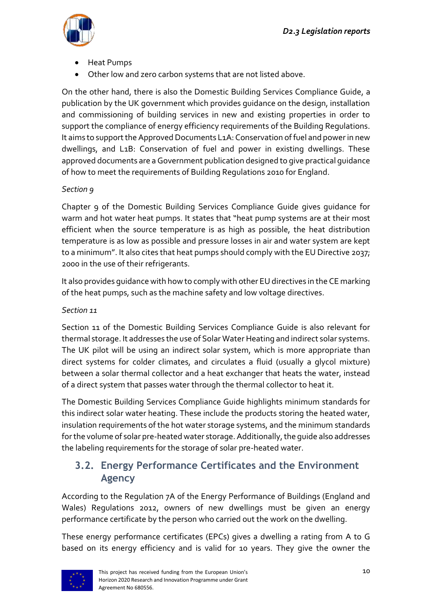

- Heat Pumps
- Other low and zero carbon systems that are not listed above.

On the other hand, there is also the Domestic Building Services Compliance Guide, a publication by the UK government which provides guidance on the design, installation and commissioning of building services in new and existing properties in order to support the compliance of energy efficiency requirements of the Building Regulations. It aims to support the Approved Documents L1A: Conservation of fuel and power in new dwellings, and L1B: Conservation of fuel and power in existing dwellings. These approved documents are a Government publication designed to give practical guidance of how to meet the requirements of Building Regulations 2010 for England.

#### *Section 9*

Chapter 9 of the Domestic Building Services Compliance Guide gives guidance for warm and hot water heat pumps. It states that "heat pump systems are at their most efficient when the source temperature is as high as possible, the heat distribution temperature is as low as possible and pressure losses in air and water system are kept to a minimum". It also cites that heat pumps should comply with the EU Directive 2037; 2000 in the use of their refrigerants.

It also provides guidance with how to comply with other EU directives in the CE marking of the heat pumps, such as the machine safety and low voltage directives.

#### *Section 11*

Section 11 of the Domestic Building Services Compliance Guide is also relevant for thermal storage. It addresses the use of Solar Water Heating and indirect solar systems. The UK pilot will be using an indirect solar system, which is more appropriate than direct systems for colder climates, and circulates a fluid (usually a glycol mixture) between a solar thermal collector and a heat exchanger that heats the water, instead of a direct system that passes water through the thermal collector to heat it.

The Domestic Building Services Compliance Guide highlights minimum standards for this indirect solar water heating. These include the products storing the heated water, insulation requirements of the hot water storage systems, and the minimum standards forthe volume of solar pre-heated water storage. Additionally, the guide also addresses the labeling requirements for the storage of solar pre-heated water.

#### <span id="page-10-0"></span>**3.2. Energy Performance Certificates and the Environment Agency**

According to the Regulation 7A of the Energy Performance of Buildings (England and Wales) Regulations 2012, owners of new dwellings must be given an energy performance certificate by the person who carried out the work on the dwelling.

These energy performance certificates (EPCs) gives a dwelling a rating from A to G based on its energy efficiency and is valid for 10 years. They give the owner the

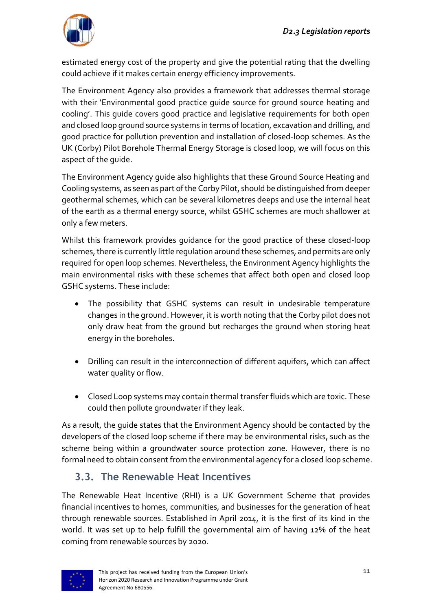

estimated energy cost of the property and give the potential rating that the dwelling could achieve if it makes certain energy efficiency improvements.

The Environment Agency also provides a framework that addresses thermal storage with their 'Environmental good practice guide source for ground source heating and cooling'. This guide covers good practice and legislative requirements for both open and closed loop ground source systems in terms of location, excavation and drilling, and good practice for pollution prevention and installation of closed-loop schemes. As the UK (Corby) Pilot Borehole Thermal Energy Storage is closed loop, we will focus on this aspect of the guide.

The Environment Agency guide also highlights that these Ground Source Heating and Cooling systems, as seen as part of the Corby Pilot, should be distinguished from deeper geothermal schemes, which can be several kilometres deeps and use the internal heat of the earth as a thermal energy source, whilst GSHC schemes are much shallower at only a few meters.

Whilst this framework provides guidance for the good practice of these closed-loop schemes, there is currently little regulation around these schemes, and permits are only required for open loop schemes. Nevertheless, the Environment Agency highlights the main environmental risks with these schemes that affect both open and closed loop GSHC systems. These include:

- The possibility that GSHC systems can result in undesirable temperature changes in the ground. However, it is worth noting that the Corby pilot does not only draw heat from the ground but recharges the ground when storing heat energy in the boreholes.
- Drilling can result in the interconnection of different aquifers, which can affect water quality or flow.
- Closed Loop systems may contain thermal transfer fluids which are toxic. These could then pollute groundwater if they leak.

As a result, the guide states that the Environment Agency should be contacted by the developers of the closed loop scheme if there may be environmental risks, such as the scheme being within a groundwater source protection zone. However, there is no formal need to obtain consent from the environmental agency for a closed loop scheme.

#### <span id="page-11-0"></span>**3.3. The Renewable Heat Incentives**

The Renewable Heat Incentive (RHI) is a UK Government Scheme that provides financial incentives to homes, communities, and businesses for the generation of heat through renewable sources. Established in April 2014, it is the first of its kind in the world. It was set up to help fulfill the governmental aim of having 12% of the heat coming from renewable sources by 2020.

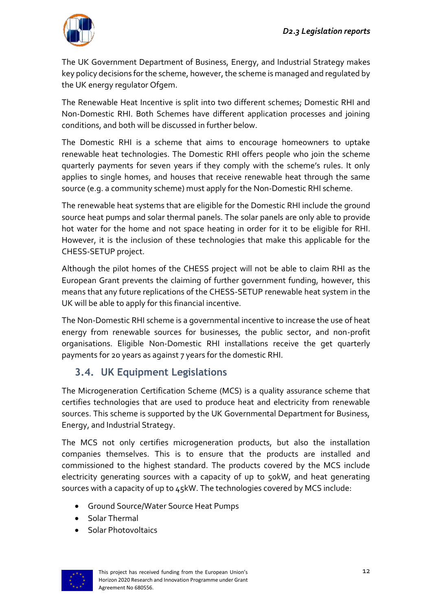

The UK Government Department of Business, Energy, and Industrial Strategy makes key policy decisions for the scheme, however, the scheme is managed and regulated by the UK energy regulator Ofgem.

The Renewable Heat Incentive is split into two different schemes; Domestic RHI and Non-Domestic RHI. Both Schemes have different application processes and joining conditions, and both will be discussed in further below.

The Domestic RHI is a scheme that aims to encourage homeowners to uptake renewable heat technologies. The Domestic RHI offers people who join the scheme quarterly payments for seven years if they comply with the scheme's rules. It only applies to single homes, and houses that receive renewable heat through the same source (e.g. a community scheme) must apply for the Non-Domestic RHI scheme.

The renewable heat systems that are eligible for the Domestic RHI include the ground source heat pumps and solar thermal panels. The solar panels are only able to provide hot water for the home and not space heating in order for it to be eligible for RHI. However, it is the inclusion of these technologies that make this applicable for the CHESS-SETUP project.

Although the pilot homes of the CHESS project will not be able to claim RHI as the European Grant prevents the claiming of further government funding, however, this means that any future replications of the CHESS-SETUP renewable heat system in the UK will be able to apply for this financial incentive.

The Non-Domestic RHI scheme is a governmental incentive to increase the use of heat energy from renewable sources for businesses, the public sector, and non-profit organisations. Eligible Non-Domestic RHI installations receive the get quarterly payments for 20 years as against 7 years for the domestic RHI.

#### <span id="page-12-0"></span>**3.4. UK Equipment Legislations**

The Microgeneration Certification Scheme (MCS) is a quality assurance scheme that certifies technologies that are used to produce heat and electricity from renewable sources. This scheme is supported by the UK Governmental Department for Business, Energy, and Industrial Strategy.

The MCS not only certifies microgeneration products, but also the installation companies themselves. This is to ensure that the products are installed and commissioned to the highest standard. The products covered by the MCS include electricity generating sources with a capacity of up to 50kW, and heat generating sources with a capacity of up to 45kW. The technologies covered by MCS include:

- Ground Source/Water Source Heat Pumps
- Solar Thermal
- **Solar Photovoltaics**

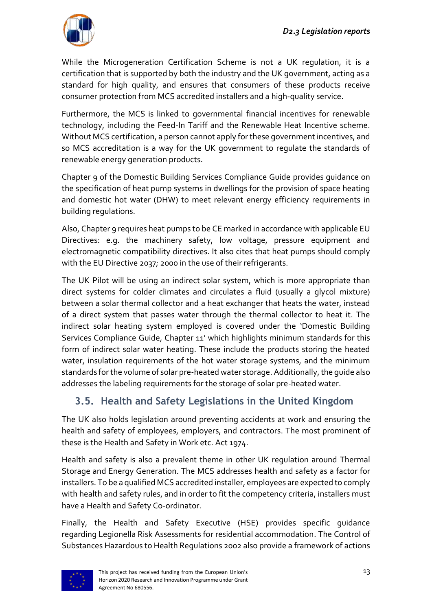

While the Microgeneration Certification Scheme is not a UK regulation, it is a certification that is supported by both the industry and the UK government, acting as a standard for high quality, and ensures that consumers of these products receive consumer protection from MCS accredited installers and a high-quality service.

Furthermore, the MCS is linked to governmental financial incentives for renewable technology, including the Feed-In Tariff and the Renewable Heat Incentive scheme. Without MCS certification, a person cannot apply for these government incentives, and so MCS accreditation is a way for the UK government to regulate the standards of renewable energy generation products.

Chapter 9 of the Domestic Building Services Compliance Guide provides guidance on the specification of heat pump systems in dwellings for the provision of space heating and domestic hot water (DHW) to meet relevant energy efficiency requirements in building regulations.

Also, Chapter 9 requires heat pumps to be CE marked in accordance with applicable EU Directives: e.g. the machinery safety, low voltage, pressure equipment and electromagnetic compatibility directives. It also cites that heat pumps should comply with the EU Directive 2037; 2000 in the use of their refrigerants.

The UK Pilot will be using an indirect solar system, which is more appropriate than direct systems for colder climates and circulates a fluid (usually a glycol mixture) between a solar thermal collector and a heat exchanger that heats the water, instead of a direct system that passes water through the thermal collector to heat it. The indirect solar heating system employed is covered under the 'Domestic Building Services Compliance Guide, Chapter 11' which highlights minimum standards for this form of indirect solar water heating. These include the products storing the heated water, insulation requirements of the hot water storage systems, and the minimum standards for the volume of solar pre-heated water storage. Additionally, the guide also addresses the labeling requirements for the storage of solar pre-heated water.

#### <span id="page-13-0"></span>**3.5. Health and Safety Legislations in the United Kingdom**

The UK also holds legislation around preventing accidents at work and ensuring the health and safety of employees, employers, and contractors. The most prominent of these is the Health and Safety in Work etc. Act 1974.

Health and safety is also a prevalent theme in other UK regulation around Thermal Storage and Energy Generation. The MCS addresses health and safety as a factor for installers. To be a qualified MCS accredited installer, employees are expected to comply with health and safety rules, and in order to fit the competency criteria, installers must have a Health and Safety Co-ordinator.

Finally, the Health and Safety Executive (HSE) provides specific guidance regarding [Legionella Risk Assessments for residential accommodation.](https://www.bradley-enviro.co.uk/images/stories/PDFs/legionnaires_disease_in_residential_accommodation_risk_assessment.pdf) The Control of Substances Hazardous to Health Regulations 2002 also provide a framework of actions

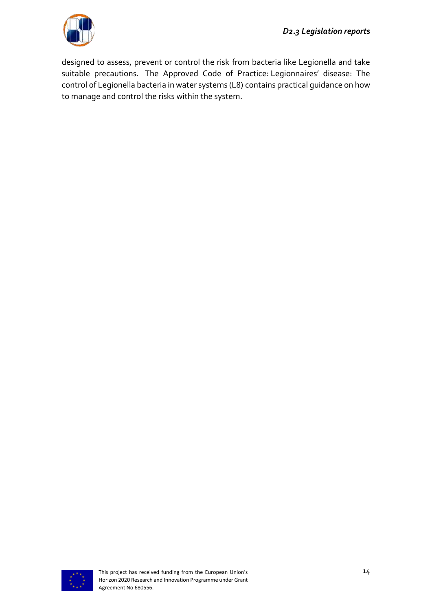

designed to assess, prevent or control the risk from bacteria like Legionella and take suitable precautions. The Approved Code of Practice: [Legionnaires' disease: The](http://www.hse.gov.uk/pubns/books/l8.htm)  [control of Legionella bacteria in water systems \(L8\)](http://www.hse.gov.uk/pubns/books/l8.htm) contains practical guidance on how to manage and control the risks within the system.

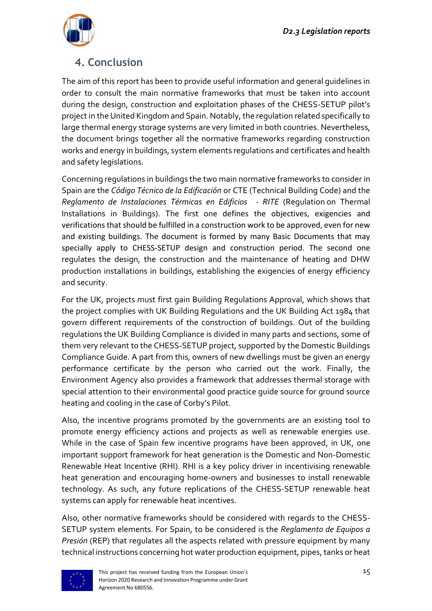

### <span id="page-15-0"></span>**4. Conclusion**

The aim of this report has been to provide useful information and general guidelines in order to consult the main normative frameworks that must be taken into account during the design, construction and exploitation phases of the CHESS-SETUP pilot's project in the United Kingdom and Spain. Notably, the regulation related specifically to large thermal energy storage systems are very limited in both countries. Nevertheless, the document brings together all the normative frameworks regarding construction works and energy in buildings, system elements regulations and certificates and health and safety legislations.

Concerning regulations in buildings the two main normative frameworks to consider in Spain are the *Código Técnico de la Edificación* or CTE (Technical Building Code) and the *Reglamento de Instalaciones Térmicas en Edificios - RITE* (Regulation on Thermal Installations in Buildings). The first one defines the objectives, exigencies and verifications that should be fulfilled in a construction work to be approved, even for new and existing buildings. The document is formed by many Basic Documents that may specially apply to CHESS-SETUP design and construction period. The second one regulates the design, the construction and the maintenance of heating and DHW production installations in buildings, establishing the exigencies of energy efficiency and security.

For the UK, projects must first gain Building Regulations Approval, which shows that the project complies with UK Building Regulations and the UK Building Act 1984 that govern different requirements of the construction of buildings. Out of the building regulations the UK Building Compliance is divided in many parts and sections, some of them very relevant to the CHESS-SETUP project, supported by the Domestic Buildings Compliance Guide. A part from this, owners of new dwellings must be given an energy performance certificate by the person who carried out the work. Finally, the Environment Agency also provides a framework that addresses thermal storage with special attention to their environmental good practice guide source for ground source heating and cooling in the case of Corby's Pilot.

Also, the incentive programs promoted by the governments are an existing tool to promote energy efficiency actions and projects as well as renewable energies use. While in the case of Spain few incentive programs have been approved, in UK, one important support framework for heat generation is the Domestic and Non-Domestic Renewable Heat Incentive (RHI). RHI is a key policy driver in incentivising renewable heat generation and encouraging home-owners and businesses to install renewable technology. As such, any future replications of the CHESS-SETUP renewable heat systems can apply for renewable heat incentives.

Also, other normative frameworks should be considered with regards to the CHESS-SETUP system elements. For Spain, to be considered is the *Reglamento de Equipos a Presión* (REP) that regulates all the aspects related with pressure equipment by many technical instructions concerning hot water production equipment, pipes, tanks or heat

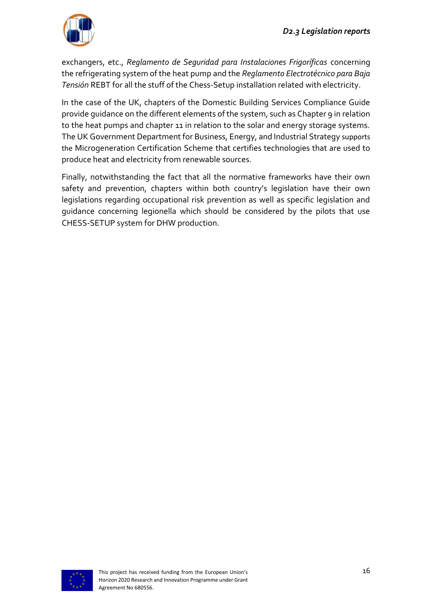

exchangers, etc., *Reglamento de Seguridad para Instalaciones Frigoríficas* concerning the refrigerating system of the heat pump and the *Reglamento Electrotécnico para Baja Tensión* REBT for all the stuff of the Chess-Setup installation related with electricity.

In the case of the UK, chapters of the Domestic Building Services Compliance Guide provide guidance on the different elements of the system, such as Chapter 9 in relation to the heat pumps and chapter 11 in relation to the solar and energy storage systems. The UK Government Department for Business, Energy, and Industrial Strategy supports the Microgeneration Certification Scheme that certifies technologies that are used to produce heat and electricity from renewable sources.

Finally, notwithstanding the fact that all the normative frameworks have their own safety and prevention, chapters within both country's legislation have their own legislations regarding occupational risk prevention as well as specific legislation and guidance concerning legionella which should be considered by the pilots that use CHESS-SETUP system for DHW production.

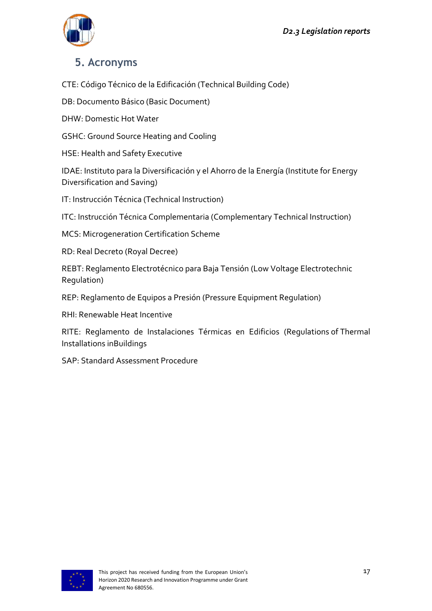

#### <span id="page-17-0"></span>**5. Acronyms**

CTE: Código Técnico de la Edificación (Technical Building Code)

DB: Documento Básico (Basic Document)

DHW: Domestic Hot Water

GSHC: Ground Source Heating and Cooling

HSE: Health and Safety Executive

IDAE: Instituto para la Diversificación y el Ahorro de la Energía (Institute for Energy Diversification and Saving)

IT: Instrucción Técnica (Technical Instruction)

ITC: Instrucción Técnica Complementaria (Complementary Technical Instruction)

MCS: Microgeneration Certification Scheme

RD: Real Decreto (Royal Decree)

REBT: Reglamento Electrotécnico para Baja Tensión (Low Voltage Electrotechnic Regulation)

REP: Reglamento de Equipos a Presión (Pressure Equipment Regulation)

RHI: Renewable Heat Incentive

RITE: Reglamento de Instalaciones Térmicas en Edificios (Regulations of Thermal Installations inBuildings

SAP: Standard Assessment Procedure